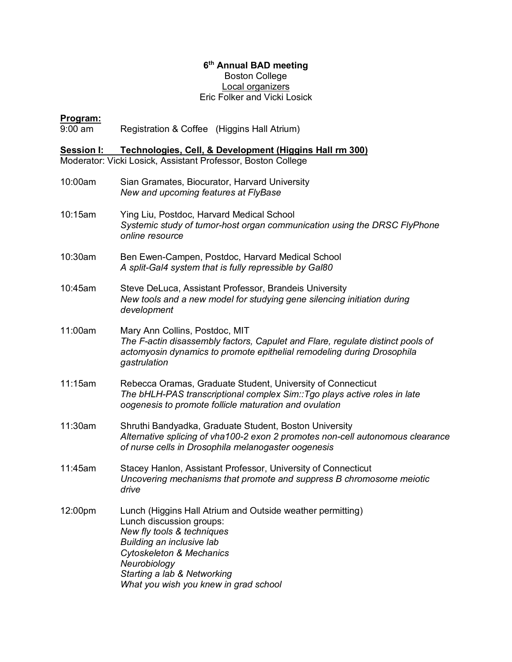## **6th Annual BAD meeting** Boston College Local organizers Eric Folker and Vicki Losick

## **Program:**

9:00 am Registration & Coffee (Higgins Hall Atrium)

**Session I: Technologies, Cell, & Development (Higgins Hall rm 300)** Moderator: Vicki Losick, Assistant Professor, Boston College

- 10:00am Sian Gramates, Biocurator, Harvard University *New and upcoming features at FlyBase* 10:15am Ying Liu, Postdoc, Harvard Medical School *Systemic study of tumor-host organ communication using the DRSC FlyPhone online resource* 10:30am Ben Ewen-Campen, Postdoc, Harvard Medical School *A split-Gal4 system that is fully repressible by Gal80* 10:45am Steve DeLuca, Assistant Professor, Brandeis University *New tools and a new model for studying gene silencing initiation during development* 11:00am Mary Ann Collins, Postdoc, MIT *The F-actin disassembly factors, Capulet and Flare, regulate distinct pools of actomyosin dynamics to promote epithelial remodeling during Drosophila gastrulation*
- 11:15am Rebecca Oramas, Graduate Student, University of Connecticut *The bHLH-PAS transcriptional complex Sim::Tgo plays active roles in late oogenesis to promote follicle maturation and ovulation*
- 11:30am Shruthi Bandyadka, Graduate Student, Boston University *Alternative splicing of vha100-2 exon 2 promotes non-cell autonomous clearance of nurse cells in Drosophila melanogaster oogenesis*
- 11:45am Stacey Hanlon, Assistant Professor, University of Connecticut *Uncovering mechanisms that promote and suppress B chromosome meiotic drive*
- 12:00pm Lunch (Higgins Hall Atrium and Outside weather permitting) Lunch discussion groups: *New fly tools & techniques Building an inclusive lab Cytoskeleton & Mechanics Neurobiology Starting a lab & Networking What you wish you knew in grad school*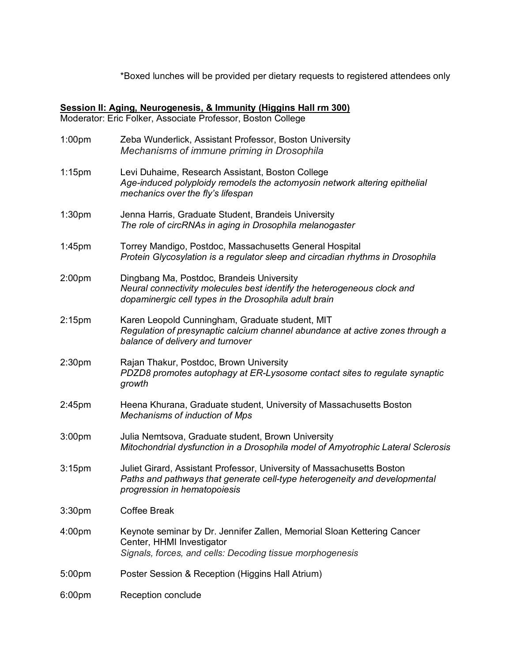\*Boxed lunches will be provided per dietary requests to registered attendees only

## **Session II: Aging, Neurogenesis, & Immunity (Higgins Hall rm 300)**

Moderator: Eric Folker, Associate Professor, Boston College

| 1:00 <sub>pm</sub> | Zeba Wunderlick, Assistant Professor, Boston University<br>Mechanisms of immune priming in Drosophila                                                                                |
|--------------------|--------------------------------------------------------------------------------------------------------------------------------------------------------------------------------------|
| $1:15$ pm          | Levi Duhaime, Research Assistant, Boston College<br>Age-induced polyploidy remodels the actomyosin network altering epithelial<br>mechanics over the fly's lifespan                  |
| 1:30 <sub>pm</sub> | Jenna Harris, Graduate Student, Brandeis University<br>The role of circRNAs in aging in Drosophila melanogaster                                                                      |
| 1:45 <sub>pm</sub> | Torrey Mandigo, Postdoc, Massachusetts General Hospital<br>Protein Glycosylation is a regulator sleep and circadian rhythms in Drosophila                                            |
| 2:00 <sub>pm</sub> | Dingbang Ma, Postdoc, Brandeis University<br>Neural connectivity molecules best identify the heterogeneous clock and<br>dopaminergic cell types in the Drosophila adult brain        |
| 2:15 <sub>pm</sub> | Karen Leopold Cunningham, Graduate student, MIT<br>Regulation of presynaptic calcium channel abundance at active zones through a<br>balance of delivery and turnover                 |
| 2:30 <sub>pm</sub> | Rajan Thakur, Postdoc, Brown University<br>PDZD8 promotes autophagy at ER-Lysosome contact sites to regulate synaptic<br>growth                                                      |
| 2:45 <sub>pm</sub> | Heena Khurana, Graduate student, University of Massachusetts Boston<br>Mechanisms of induction of Mps                                                                                |
| 3:00 <sub>pm</sub> | Julia Nemtsova, Graduate student, Brown University<br>Mitochondrial dysfunction in a Drosophila model of Amyotrophic Lateral Sclerosis                                               |
| 3:15 <sub>pm</sub> | Juliet Girard, Assistant Professor, University of Massachusetts Boston<br>Paths and pathways that generate cell-type heterogeneity and developmental<br>progression in hematopoiesis |
| 3:30pm             | <b>Coffee Break</b>                                                                                                                                                                  |
| 4:00 <sub>pm</sub> | Keynote seminar by Dr. Jennifer Zallen, Memorial Sloan Kettering Cancer<br>Center, HHMI Investigator<br>Signals, forces, and cells: Decoding tissue morphogenesis                    |
| 5:00pm             | Poster Session & Reception (Higgins Hall Atrium)                                                                                                                                     |
| 6:00pm             | Reception conclude                                                                                                                                                                   |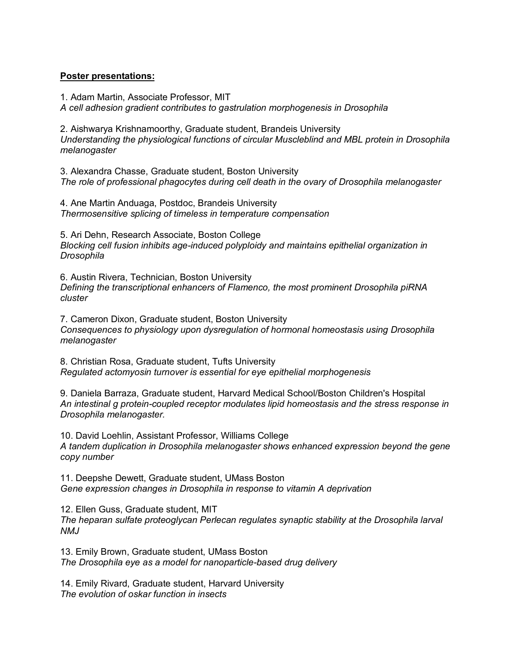## **Poster presentations:**

1. Adam Martin, Associate Professor, MIT

*A cell adhesion gradient contributes to gastrulation morphogenesis in Drosophila*

2. Aishwarya Krishnamoorthy, Graduate student, Brandeis University *Understanding the physiological functions of circular Muscleblind and MBL protein in Drosophila melanogaster*

3. Alexandra Chasse, Graduate student, Boston University *The role of professional phagocytes during cell death in the ovary of Drosophila melanogaster*

4. Ane Martin Anduaga, Postdoc, Brandeis University *Thermosensitive splicing of timeless in temperature compensation*

5. Ari Dehn, Research Associate, Boston College *Blocking cell fusion inhibits age-induced polyploidy and maintains epithelial organization in Drosophila*

6. Austin Rivera, Technician, Boston University *Defining the transcriptional enhancers of Flamenco, the most prominent Drosophila piRNA cluster*

7. Cameron Dixon, Graduate student, Boston University *Consequences to physiology upon dysregulation of hormonal homeostasis using Drosophila melanogaster*

8. Christian Rosa, Graduate student, Tufts University *Regulated actomyosin turnover is essential for eye epithelial morphogenesis*

9. Daniela Barraza, Graduate student, Harvard Medical School/Boston Children's Hospital *An intestinal g protein-coupled receptor modulates lipid homeostasis and the stress response in Drosophila melanogaster.*

10. David Loehlin, Assistant Professor, Williams College *A tandem duplication in Drosophila melanogaster shows enhanced expression beyond the gene copy number*

11. Deepshe Dewett, Graduate student, UMass Boston *Gene expression changes in Drosophila in response to vitamin A deprivation*

12. Ellen Guss, Graduate student, MIT *The heparan sulfate proteoglycan Perlecan regulates synaptic stability at the Drosophila larval NMJ*

13. Emily Brown, Graduate student, UMass Boston *The Drosophila eye as a model for nanoparticle-based drug delivery*

14. Emily Rivard, Graduate student, Harvard University *The evolution of oskar function in insects*